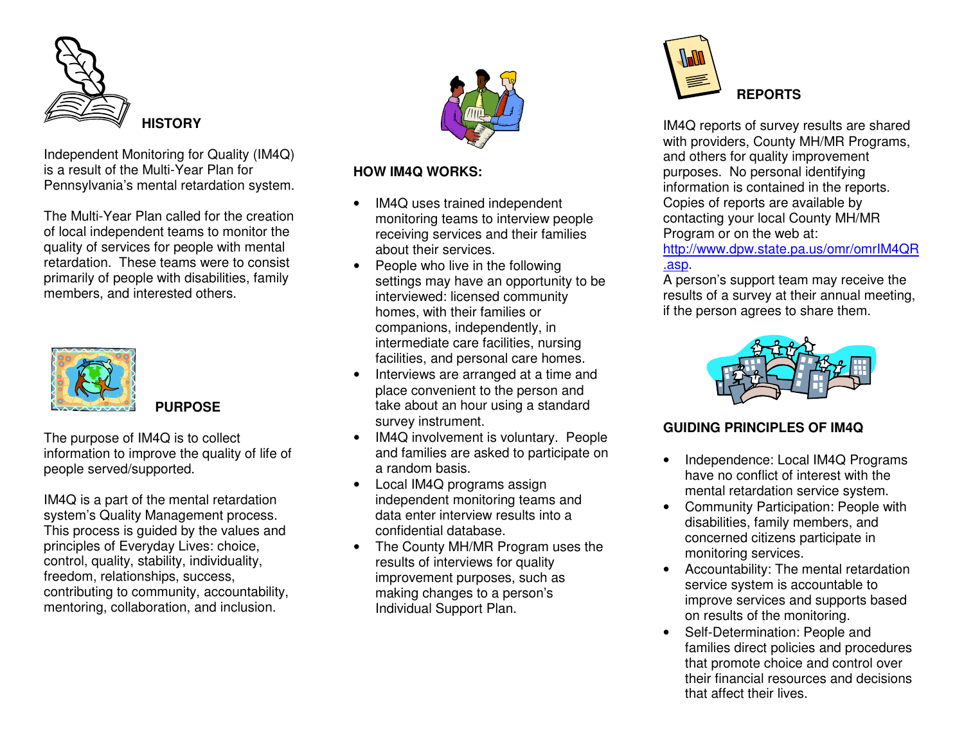

Independent Monitoring for Quality (IM4Q) is a result of the Multi-Year Plan for Pennsylvania's mental retardation system.

The Multi-Year Plan called for the creation of local indep endent teams tomonitor thequality of services for people with mental retardation. These te amswere to consistprimarily of people with disabilities, family members, a nd intere stedothers.



**PURPOSE**

The purpose of IM4Q is to collect information to improve the quality of life of p eople served/sup p orted.

IM4Q is a part of the mental retardation system's Quality Management process. This process is guided by the values and principles of Everyday Lives: choice, c o ntrol, q u ality, sta bility, in divid u ality, freedom, relationships, success, contributing to community, accountability, me ntorin g, c olla b oratio n, a n d in clu sio n.



## **HOW IM 4QWORKS:**

- •• IM4Q uses trained independent monitoring teams to interview people receiving services and their families about their services.
- People who liv e in th e follo wing settings may have an opportunity to be interviewed: licensed community homes, with th eir familiesorcompanions, independently, in interm e diate c are fa cilitie s, n ursin g facilities, and personal care homes.
- •• Interviews are arranged at a time and place convenient to the person and take about an hour using a standard survey instrument.
- •• IM4Q involvement is voluntary. People and families are asked to participate on a ra ndombasis.
- Local IM4Q programs assign indep endent monitoring te amsanddata enter interview results into a confidential database.
- •• The County MH/MR Program uses the re s ults of intervie w s for q u ality improvement purposes, such as making changes to a person's Individual Sup p ort Plan.



IM4Q reports of survey results are shared with providers, County MH/MR Programs, and others for quality improvement purposes. No personal identifying information is contained in th e re p orts.Copie s of rep orts areav ailableby c ontacting y our loc al County MH/MRProgram or on the web at:

<u>http://www.dpw.state.pa.us/omr/omrIM4QR</u> .asp.

A person's support team may receive the results of a survey at their annual meeting, if the person agrees to share them.



# **GUIDINGPRINCIPLESOF IM4Q**

- •• Independence: Local IM4Q Programs have no conflict of interest with the mental retardation service system.
- $\bullet$ • Community Participation: People with dis a bilitie s, fa mily me mb ers, a n d concerned citizens participate in monitoring services.
- Accountability: The mental retardation service system is accountable to improve services and supports based on re s ults of themonitoring.
- Self-Determination: People andfamilies direct policies and procedures that promote choice and control over their financial resources and decisions that affect their lives.